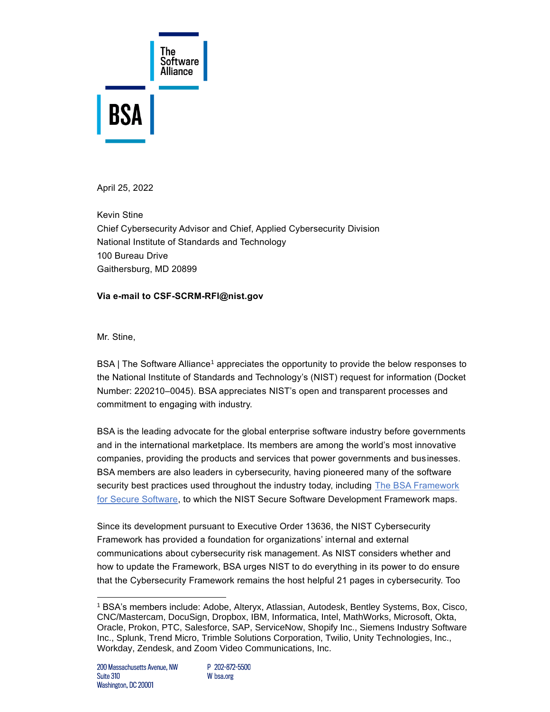

April 25, 2022

Kevin Stine Chief Cybersecurity Advisor and Chief, Applied Cybersecurity Division National Institute of Standards and Technology 100 Bureau Drive Gaithersburg, MD 20899

## **Via e-mail to CSF-SCRM-RFI@nist.gov**

Mr. Stine,

BSA | The Software Alliance<sup>1</sup> appreciates the opportunity to provide the below responses to the National Institute of Standards and Technology's (NIST) request for information (Docket Number: 220210–0045). BSA appreciates NIST's open and transparent processes and commitment to engaging with industry.

BSA is the leading advocate for the global enterprise software industry before governments and in the international marketplace. Its members are among the world's most innovative companies, providing the products and services that power governments and businesses. BSA members are also leaders in cybersecurity, having pioneered many of the software security best practices used throughout the industry today, including The BSA Framework [for Secure Software,](https://www.bsa.org/files/reports/bsa_software_security_framework_web_final.pdf) to which the NIST Secure Software Development Framework maps.

Since its development pursuant to Executive Order 13636, the NIST Cybersecurity Framework has provided a foundation for organizations' internal and external communications about cybersecurity risk management. As NIST considers whether and how to update the Framework, BSA urges NIST to do everything in its power to do ensure that the Cybersecurity Framework remains the host helpful 21 pages in cybersecurity. Too

<sup>1</sup> BSA's members include: Adobe, Alteryx, Atlassian, Autodesk, Bentley Systems, Box, Cisco, CNC/Mastercam, DocuSign, Dropbox, IBM, Informatica, Intel, MathWorks, Microsoft, Okta, Oracle, Prokon, PTC, Salesforce, SAP, ServiceNow, Shopify Inc., Siemens Industry Software Inc., Splunk, Trend Micro, Trimble Solutions Corporation, Twilio, Unity Technologies, Inc., Workday, Zendesk, and Zoom Video Communications, Inc.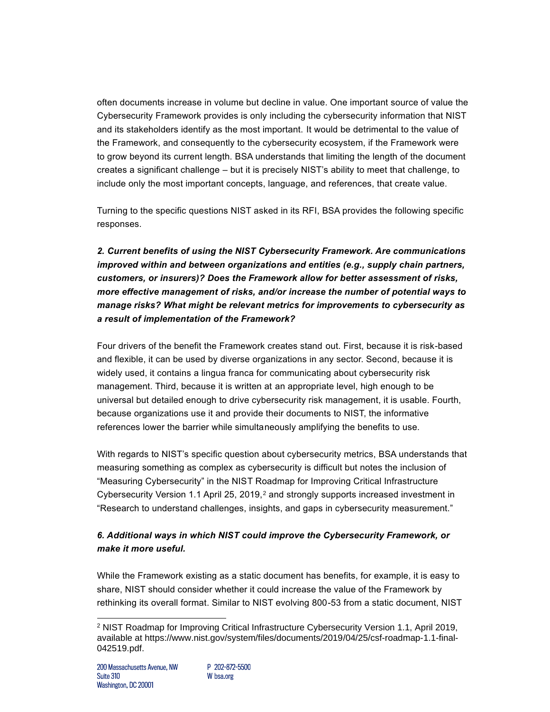often documents increase in volume but decline in value. One important source of value the Cybersecurity Framework provides is only including the cybersecurity information that NIST and its stakeholders identify as the most important. It would be detrimental to the value of the Framework, and consequently to the cybersecurity ecosystem, if the Framework were to grow beyond its current length. BSA understands that limiting the length of the document creates a significant challenge – but it is precisely NIST's ability to meet that challenge, to include only the most important concepts, language, and references, that create value.

Turning to the specific questions NIST asked in its RFI, BSA provides the following specific responses.

*2. Current benefits of using the NIST Cybersecurity Framework. Are communications improved within and between organizations and entities (e.g., supply chain partners, customers, or insurers)? Does the Framework allow for better assessment of risks, more effective management of risks, and/or increase the number of potential ways to manage risks? What might be relevant metrics for improvements to cybersecurity as a result of implementation of the Framework?*

Four drivers of the benefit the Framework creates stand out. First, because it is risk-based and flexible, it can be used by diverse organizations in any sector. Second, because it is widely used, it contains a lingua franca for communicating about cybersecurity risk management. Third, because it is written at an appropriate level, high enough to be universal but detailed enough to drive cybersecurity risk management, it is usable. Fourth, because organizations use it and provide their documents to NIST, the informative references lower the barrier while simultaneously amplifying the benefits to use.

With regards to NIST's specific question about cybersecurity metrics, BSA understands that measuring something as complex as cybersecurity is difficult but notes the inclusion of "Measuring Cybersecurity" in the NIST Roadmap for Improving Critical Infrastructure Cybersecurity Version 1.1 April 25, 2019,<sup>2</sup> and strongly supports increased investment in "Research to understand challenges, insights, and gaps in cybersecurity measurement."

## *6. Additional ways in which NIST could improve the Cybersecurity Framework, or make it more useful.*

While the Framework existing as a static document has benefits, for example, it is easy to share, NIST should consider whether it could increase the value of the Framework by rethinking its overall format. Similar to NIST evolving 800-53 from a static document, NIST

<sup>2</sup> NIST Roadmap for Improving Critical Infrastructure Cybersecurity Version 1.1, April 2019, available at [https://www.nist.gov/system/files/documents/2019/04/25/csf-roadmap-1.1-final-](https://www.nist.gov/system/files/documents/2019/04/25/csf-roadmap-1.1-final-042519.pdf)[042519.pdf.](https://www.nist.gov/system/files/documents/2019/04/25/csf-roadmap-1.1-final-042519.pdf)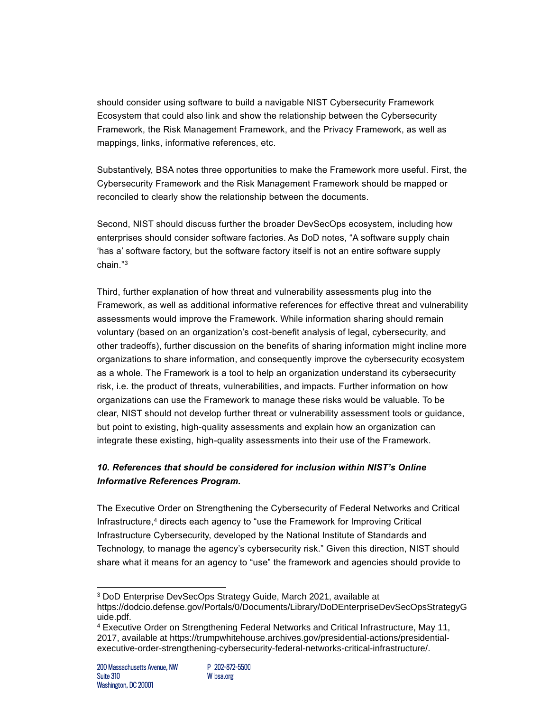should consider using software to build a navigable NIST Cybersecurity Framework Ecosystem that could also link and show the relationship between the Cybersecurity Framework, the Risk Management Framework, and the Privacy Framework, as well as mappings, links, informative references, etc.

Substantively, BSA notes three opportunities to make the Framework more useful. First, the Cybersecurity Framework and the Risk Management Framework should be mapped or reconciled to clearly show the relationship between the documents.

Second, NIST should discuss further the broader DevSecOps ecosystem, including how enterprises should consider software factories. As DoD notes, "A software supply chain 'has a' software factory, but the software factory itself is not an entire software supply chain."<sup>3</sup>

Third, further explanation of how threat and vulnerability assessments plug into the Framework, as well as additional informative references for effective threat and vulnerability assessments would improve the Framework. While information sharing should remain voluntary (based on an organization's cost-benefit analysis of legal, cybersecurity, and other tradeoffs), further discussion on the benefits of sharing information might incline more organizations to share information, and consequently improve the cybersecurity ecosystem as a whole. The Framework is a tool to help an organization understand its cybersecurity risk, i.e. the product of threats, vulnerabilities, and impacts. Further information on how organizations can use the Framework to manage these risks would be valuable. To be clear, NIST should not develop further threat or vulnerability assessment tools or guidance, but point to existing, high-quality assessments and explain how an organization can integrate these existing, high-quality assessments into their use of the Framework.

## *10. References that should be considered for inclusion within NIST's Online Informative References Program.*

The Executive Order on Strengthening the Cybersecurity of Federal Networks and Critical Infrastructure,<sup>4</sup> directs each agency to "use the Framework for Improving Critical Infrastructure Cybersecurity, developed by the National Institute of Standards and Technology, to manage the agency's cybersecurity risk." Given this direction, NIST should share what it means for an agency to "use" the framework and agencies should provide to

<sup>3</sup> DoD Enterprise DevSecOps Strategy Guide, March 2021, available at [https://dodcio.defense.gov/Portals/0/Documents/Library/DoDEnterpriseDevSecOpsStrategyG](https://dodcio.defense.gov/Portals/0/Documents/Library/DoDEnterpriseDevSecOpsStrategyGuide.pdf) [uide.pdf.](https://dodcio.defense.gov/Portals/0/Documents/Library/DoDEnterpriseDevSecOpsStrategyGuide.pdf)

<sup>4</sup> Executive Order on Strengthening Federal Networks and Critical Infrastructure, May 11, 2017, available at [https://trumpwhitehouse.archives.gov/presidential-actions/presidential](https://trumpwhitehouse.archives.gov/presidential-actions/presidential-executive-order-strengthening-cybersecurity-federal-networks-critical-infrastructure/)[executive-order-strengthening-cybersecurity-federal-networks-critical-infrastructure/.](https://trumpwhitehouse.archives.gov/presidential-actions/presidential-executive-order-strengthening-cybersecurity-federal-networks-critical-infrastructure/)